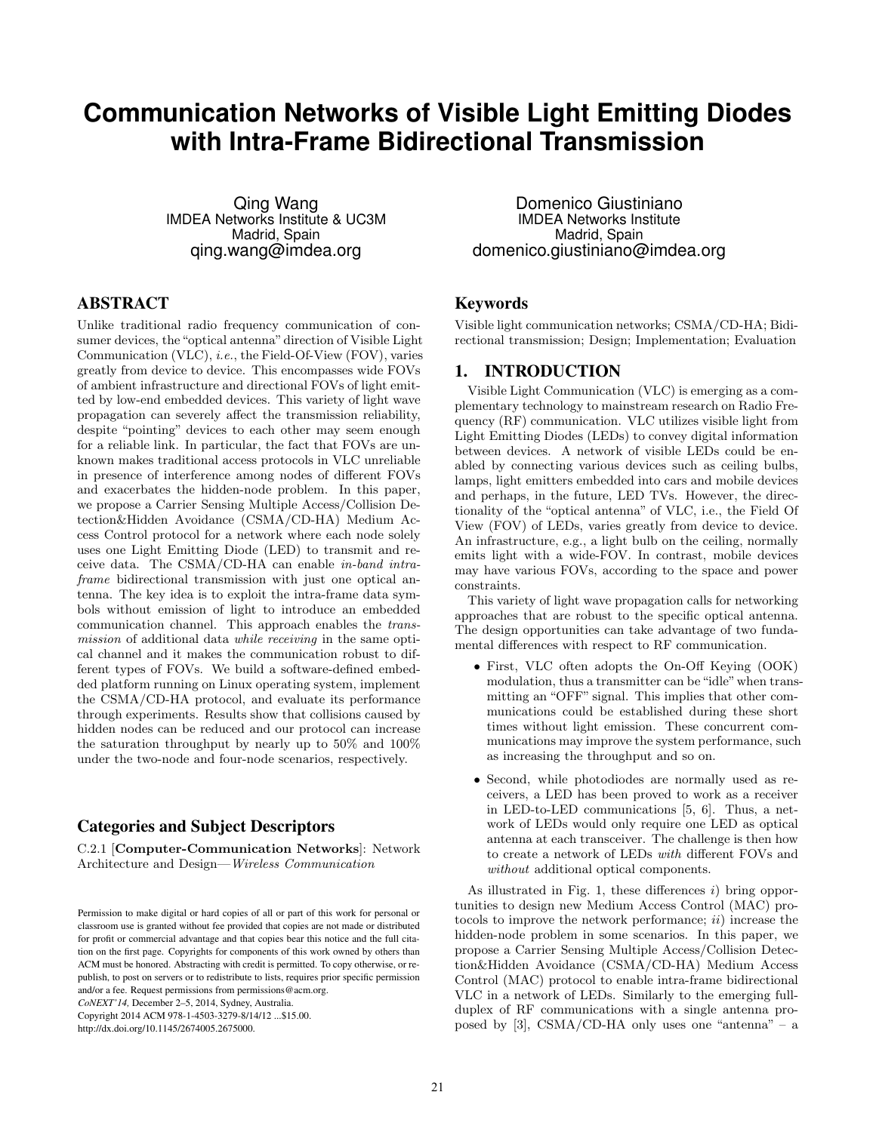# **Communication Networks of Visible Light Emitting Diodes with Intra-Frame Bidirectional Transmission**

Qing Wang IMDEA Networks Institute & UC3M Madrid, Spain qing.wang@imdea.org

## ABSTRACT

Unlike traditional radio frequency communication of consumer devices, the "optical antenna"direction of Visible Light Communication (VLC), i.e., the Field-Of-View (FOV), varies greatly from device to device. This encompasses wide FOVs of ambient infrastructure and directional FOVs of light emitted by low-end embedded devices. This variety of light wave propagation can severely affect the transmission reliability, despite "pointing" devices to each other may seem enough for a reliable link. In particular, the fact that FOVs are unknown makes traditional access protocols in VLC unreliable in presence of interference among nodes of different FOVs and exacerbates the hidden-node problem. In this paper, we propose a Carrier Sensing Multiple Access/Collision Detection&Hidden Avoidance (CSMA/CD-HA) Medium Access Control protocol for a network where each node solely uses one Light Emitting Diode (LED) to transmit and receive data. The CSMA/CD-HA can enable in-band intraframe bidirectional transmission with just one optical antenna. The key idea is to exploit the intra-frame data symbols without emission of light to introduce an embedded communication channel. This approach enables the transmission of additional data while receiving in the same optical channel and it makes the communication robust to different types of FOVs. We build a software-defined embedded platform running on Linux operating system, implement the CSMA/CD-HA protocol, and evaluate its performance through experiments. Results show that collisions caused by hidden nodes can be reduced and our protocol can increase the saturation throughput by nearly up to 50% and 100% under the two-node and four-node scenarios, respectively.

### Categories and Subject Descriptors

C.2.1 [Computer-Communication Networks]: Network Architecture and Design—Wireless Communication

*CoNEXT'14,* December 2–5, 2014, Sydney, Australia.

Copyright 2014 ACM 978-1-4503-3279-8/14/12 ...\$15.00. http://dx.doi.org/10.1145/2674005.2675000.

Domenico Giustiniano IMDEA Networks Institute Madrid, Spain domenico.giustiniano@imdea.org

# Keywords

Visible light communication networks; CSMA/CD-HA; Bidirectional transmission; Design; Implementation; Evaluation

#### 1. INTRODUCTION

Visible Light Communication (VLC) is emerging as a complementary technology to mainstream research on Radio Frequency (RF) communication. VLC utilizes visible light from Light Emitting Diodes (LEDs) to convey digital information between devices. A network of visible LEDs could be enabled by connecting various devices such as ceiling bulbs, lamps, light emitters embedded into cars and mobile devices and perhaps, in the future, LED TVs. However, the directionality of the "optical antenna" of VLC, i.e., the Field Of View (FOV) of LEDs, varies greatly from device to device. An infrastructure, e.g., a light bulb on the ceiling, normally emits light with a wide-FOV. In contrast, mobile devices may have various FOVs, according to the space and power constraints.

This variety of light wave propagation calls for networking approaches that are robust to the specific optical antenna. The design opportunities can take advantage of two fundamental differences with respect to RF communication.

- First, VLC often adopts the On-Off Keying (OOK) modulation, thus a transmitter can be "idle" when transmitting an "OFF" signal. This implies that other communications could be established during these short times without light emission. These concurrent communications may improve the system performance, such as increasing the throughput and so on.
- Second, while photodiodes are normally used as receivers, a LED has been proved to work as a receiver in LED-to-LED communications [5, 6]. Thus, a network of LEDs would only require one LED as optical antenna at each transceiver. The challenge is then how to create a network of LEDs with different FOVs and without additional optical components.

As illustrated in Fig. 1, these differences  $i$ ) bring opportunities to design new Medium Access Control (MAC) protocols to improve the network performance;  $ii)$  increase the hidden-node problem in some scenarios. In this paper, we propose a Carrier Sensing Multiple Access/Collision Detection&Hidden Avoidance (CSMA/CD-HA) Medium Access Control (MAC) protocol to enable intra-frame bidirectional VLC in a network of LEDs. Similarly to the emerging fullduplex of RF communications with a single antenna proposed by [3], CSMA/CD-HA only uses one "antenna" – a

Permission to make digital or hard copies of all or part of this work for personal or classroom use is granted without fee provided that copies are not made or distributed for profit or commercial advantage and that copies bear this notice and the full citation on the first page. Copyrights for components of this work owned by others than ACM must be honored. Abstracting with credit is permitted. To copy otherwise, or republish, to post on servers or to redistribute to lists, requires prior specific permission and/or a fee. Request permissions from permissions@acm.org.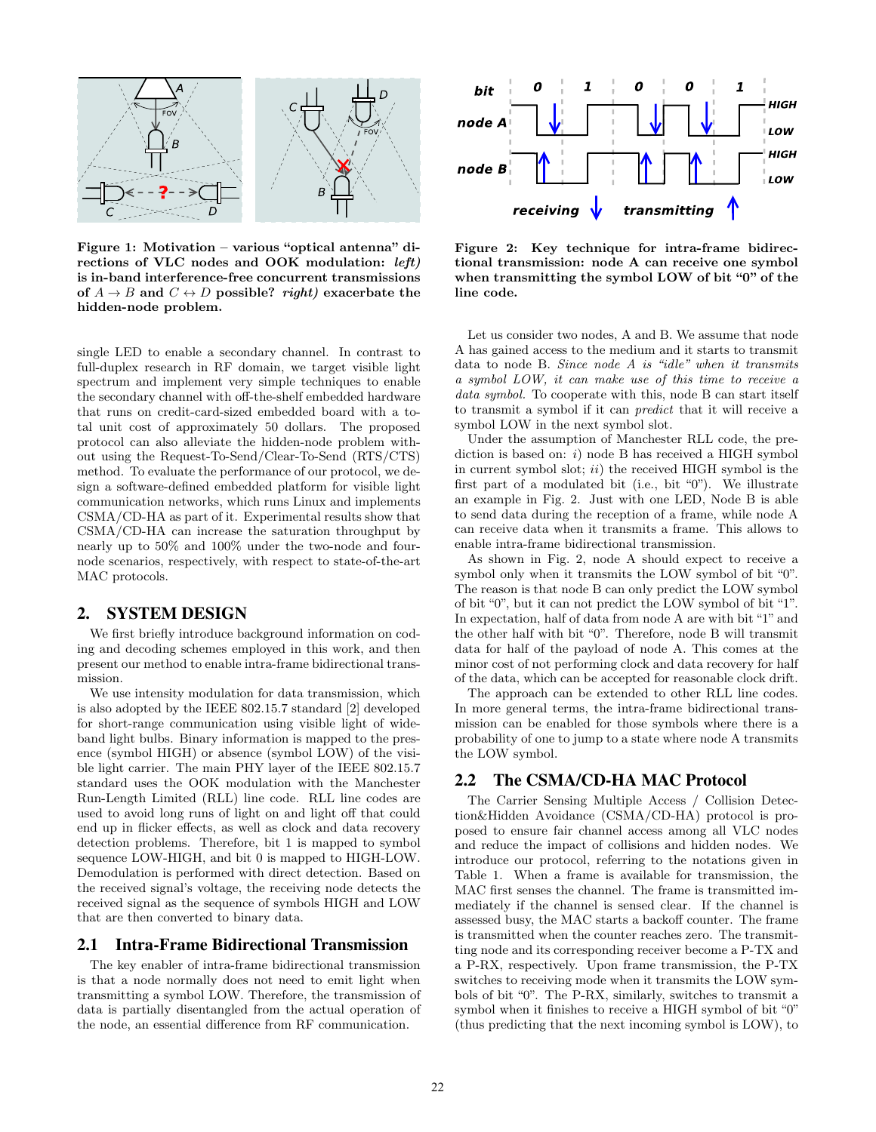

Figure 1: Motivation – various "optical antenna" directions of VLC nodes and OOK modulation: left) is in-band interference-free concurrent transmissions of  $A \rightarrow B$  and  $C \leftrightarrow D$  possible? right) exacerbate the hidden-node problem.

single LED to enable a secondary channel. In contrast to full-duplex research in RF domain, we target visible light spectrum and implement very simple techniques to enable the secondary channel with off-the-shelf embedded hardware that runs on credit-card-sized embedded board with a total unit cost of approximately 50 dollars. The proposed protocol can also alleviate the hidden-node problem without using the Request-To-Send/Clear-To-Send (RTS/CTS) method. To evaluate the performance of our protocol, we design a software-defined embedded platform for visible light communication networks, which runs Linux and implements CSMA/CD-HA as part of it. Experimental results show that CSMA/CD-HA can increase the saturation throughput by nearly up to 50% and 100% under the two-node and fournode scenarios, respectively, with respect to state-of-the-art MAC protocols.

#### 2. SYSTEM DESIGN

We first briefly introduce background information on coding and decoding schemes employed in this work, and then present our method to enable intra-frame bidirectional transmission.

We use intensity modulation for data transmission, which is also adopted by the IEEE 802.15.7 standard [2] developed for short-range communication using visible light of wideband light bulbs. Binary information is mapped to the presence (symbol HIGH) or absence (symbol LOW) of the visible light carrier. The main PHY layer of the IEEE 802.15.7 standard uses the OOK modulation with the Manchester Run-Length Limited (RLL) line code. RLL line codes are used to avoid long runs of light on and light off that could end up in flicker effects, as well as clock and data recovery detection problems. Therefore, bit 1 is mapped to symbol sequence LOW-HIGH, and bit 0 is mapped to HIGH-LOW. Demodulation is performed with direct detection. Based on the received signal's voltage, the receiving node detects the received signal as the sequence of symbols HIGH and LOW that are then converted to binary data.

#### 2.1 Intra-Frame Bidirectional Transmission

The key enabler of intra-frame bidirectional transmission is that a node normally does not need to emit light when transmitting a symbol LOW. Therefore, the transmission of data is partially disentangled from the actual operation of the node, an essential difference from RF communication.



Figure 2: Key technique for intra-frame bidirectional transmission: node A can receive one symbol when transmitting the symbol LOW of bit "0" of the line code.

Let us consider two nodes, A and B. We assume that node A has gained access to the medium and it starts to transmit data to node B. Since node A is "idle" when it transmits a symbol LOW, it can make use of this time to receive a data symbol. To cooperate with this, node B can start itself to transmit a symbol if it can predict that it will receive a symbol LOW in the next symbol slot.

Under the assumption of Manchester RLL code, the prediction is based on:  $i)$  node B has received a HIGH symbol in current symbol slot;  $ii)$  the received HIGH symbol is the first part of a modulated bit (i.e., bit "0"). We illustrate an example in Fig. 2. Just with one LED, Node B is able to send data during the reception of a frame, while node A can receive data when it transmits a frame. This allows to enable intra-frame bidirectional transmission.

As shown in Fig. 2, node A should expect to receive a symbol only when it transmits the LOW symbol of bit "0". The reason is that node B can only predict the LOW symbol of bit "0", but it can not predict the LOW symbol of bit "1". In expectation, half of data from node A are with bit "1" and the other half with bit "0". Therefore, node B will transmit data for half of the payload of node A. This comes at the minor cost of not performing clock and data recovery for half of the data, which can be accepted for reasonable clock drift.

The approach can be extended to other RLL line codes. In more general terms, the intra-frame bidirectional transmission can be enabled for those symbols where there is a probability of one to jump to a state where node A transmits the LOW symbol.

#### 2.2 The CSMA/CD-HA MAC Protocol

The Carrier Sensing Multiple Access / Collision Detection&Hidden Avoidance (CSMA/CD-HA) protocol is proposed to ensure fair channel access among all VLC nodes and reduce the impact of collisions and hidden nodes. We introduce our protocol, referring to the notations given in Table 1. When a frame is available for transmission, the MAC first senses the channel. The frame is transmitted immediately if the channel is sensed clear. If the channel is assessed busy, the MAC starts a backoff counter. The frame is transmitted when the counter reaches zero. The transmitting node and its corresponding receiver become a P-TX and a P-RX, respectively. Upon frame transmission, the P-TX switches to receiving mode when it transmits the LOW symbols of bit "0". The P-RX, similarly, switches to transmit a symbol when it finishes to receive a HIGH symbol of bit "0" (thus predicting that the next incoming symbol is LOW), to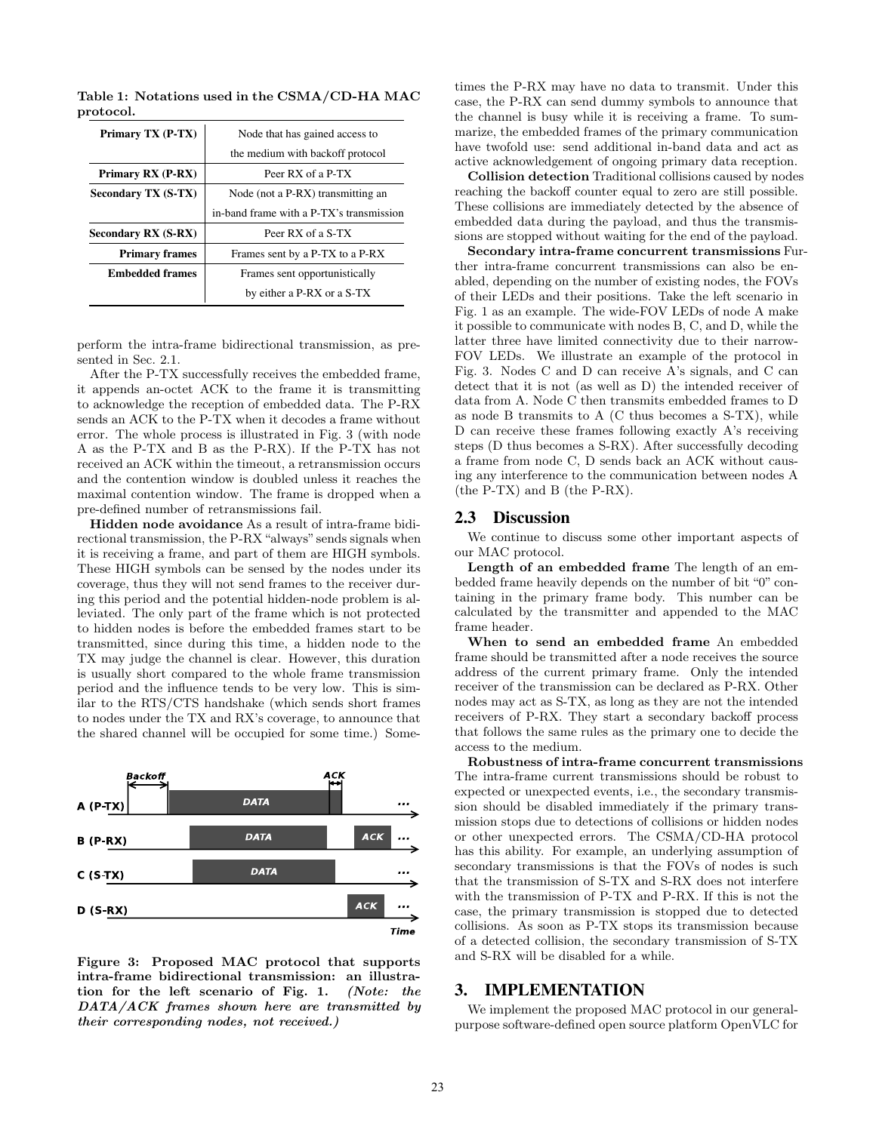| Primary TX (P-TX)          | Node that has gained access to           |  |  |  |  |
|----------------------------|------------------------------------------|--|--|--|--|
|                            | the medium with backoff protocol         |  |  |  |  |
| Primary RX (P-RX)          | Peer RX of a P-TX                        |  |  |  |  |
| <b>Secondary TX (S-TX)</b> | Node (not a P-RX) transmitting an        |  |  |  |  |
|                            | in-band frame with a P-TX's transmission |  |  |  |  |
| Secondary RX (S-RX)        | Peer RX of a S-TX                        |  |  |  |  |
| <b>Primary frames</b>      | Frames sent by a P-TX to a P-RX          |  |  |  |  |
| <b>Embedded frames</b>     | Frames sent opportunistically            |  |  |  |  |
|                            | by either a P-RX or a S-TX               |  |  |  |  |

Table 1: Notations used in the CSMA/CD-HA MAC protocol.

perform the intra-frame bidirectional transmission, as presented in Sec. 2.1.

After the P-TX successfully receives the embedded frame, it appends an-octet ACK to the frame it is transmitting to acknowledge the reception of embedded data. The P-RX sends an ACK to the P-TX when it decodes a frame without error. The whole process is illustrated in Fig. 3 (with node A as the P-TX and B as the P-RX). If the P-TX has not received an ACK within the timeout, a retransmission occurs and the contention window is doubled unless it reaches the maximal contention window. The frame is dropped when a pre-defined number of retransmissions fail.

Hidden node avoidance As a result of intra-frame bidirectional transmission, the P-RX"always" sends signals when it is receiving a frame, and part of them are HIGH symbols. These HIGH symbols can be sensed by the nodes under its coverage, thus they will not send frames to the receiver during this period and the potential hidden-node problem is alleviated. The only part of the frame which is not protected to hidden nodes is before the embedded frames start to be transmitted, since during this time, a hidden node to the TX may judge the channel is clear. However, this duration is usually short compared to the whole frame transmission period and the influence tends to be very low. This is similar to the RTS/CTS handshake (which sends short frames to nodes under the TX and RX's coverage, to announce that the shared channel will be occupied for some time.) Some-



Figure 3: Proposed MAC protocol that supports intra-frame bidirectional transmission: an illustration for the left scenario of Fig. 1. (Note: the DATA/ACK frames shown here are transmitted by their corresponding nodes, not received.)

times the P-RX may have no data to transmit. Under this case, the P-RX can send dummy symbols to announce that the channel is busy while it is receiving a frame. To summarize, the embedded frames of the primary communication have twofold use: send additional in-band data and act as active acknowledgement of ongoing primary data reception.

Collision detection Traditional collisions caused by nodes reaching the backoff counter equal to zero are still possible. These collisions are immediately detected by the absence of embedded data during the payload, and thus the transmissions are stopped without waiting for the end of the payload.

Secondary intra-frame concurrent transmissions Further intra-frame concurrent transmissions can also be enabled, depending on the number of existing nodes, the FOVs of their LEDs and their positions. Take the left scenario in Fig. 1 as an example. The wide-FOV LEDs of node A make it possible to communicate with nodes B, C, and D, while the latter three have limited connectivity due to their narrow-FOV LEDs. We illustrate an example of the protocol in Fig. 3. Nodes C and D can receive A's signals, and C can detect that it is not (as well as D) the intended receiver of data from A. Node C then transmits embedded frames to D as node B transmits to A (C thus becomes a S-TX), while D can receive these frames following exactly A's receiving steps (D thus becomes a S-RX). After successfully decoding a frame from node C, D sends back an ACK without causing any interference to the communication between nodes A (the P-TX) and B (the P-RX).

#### 2.3 Discussion

We continue to discuss some other important aspects of our MAC protocol.

Length of an embedded frame The length of an embedded frame heavily depends on the number of bit "0" containing in the primary frame body. This number can be calculated by the transmitter and appended to the MAC frame header.

When to send an embedded frame An embedded frame should be transmitted after a node receives the source address of the current primary frame. Only the intended receiver of the transmission can be declared as P-RX. Other nodes may act as S-TX, as long as they are not the intended receivers of P-RX. They start a secondary backoff process that follows the same rules as the primary one to decide the access to the medium.

Robustness of intra-frame concurrent transmissions The intra-frame current transmissions should be robust to expected or unexpected events, i.e., the secondary transmission should be disabled immediately if the primary transmission stops due to detections of collisions or hidden nodes or other unexpected errors. The CSMA/CD-HA protocol has this ability. For example, an underlying assumption of secondary transmissions is that the FOVs of nodes is such that the transmission of S-TX and S-RX does not interfere with the transmission of P-TX and P-RX. If this is not the case, the primary transmission is stopped due to detected collisions. As soon as P-TX stops its transmission because of a detected collision, the secondary transmission of S-TX and S-RX will be disabled for a while.

#### 3. IMPLEMENTATION

We implement the proposed MAC protocol in our generalpurpose software-defined open source platform OpenVLC for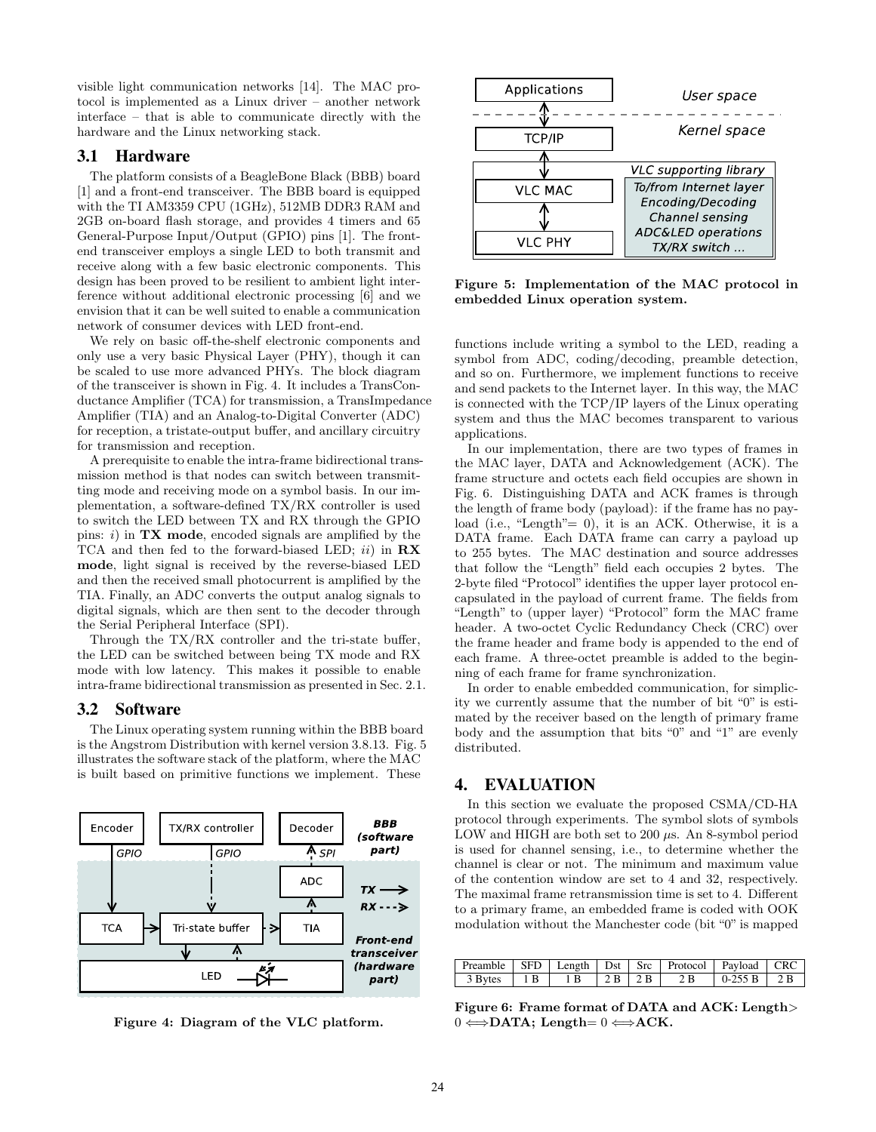visible light communication networks [14]. The MAC protocol is implemented as a Linux driver – another network interface – that is able to communicate directly with the hardware and the Linux networking stack.

#### 3.1 Hardware

The platform consists of a BeagleBone Black (BBB) board [1] and a front-end transceiver. The BBB board is equipped with the TI AM3359 CPU (1GHz), 512MB DDR3 RAM and 2GB on-board flash storage, and provides 4 timers and 65 General-Purpose Input/Output (GPIO) pins [1]. The frontend transceiver employs a single LED to both transmit and receive along with a few basic electronic components. This design has been proved to be resilient to ambient light interference without additional electronic processing [6] and we envision that it can be well suited to enable a communication network of consumer devices with LED front-end.

We rely on basic off-the-shelf electronic components and only use a very basic Physical Layer (PHY), though it can be scaled to use more advanced PHYs. The block diagram of the transceiver is shown in Fig. 4. It includes a TransConductance Amplifier (TCA) for transmission, a TransImpedance Amplifier (TIA) and an Analog-to-Digital Converter (ADC) for reception, a tristate-output buffer, and ancillary circuitry for transmission and reception.

A prerequisite to enable the intra-frame bidirectional transmission method is that nodes can switch between transmitting mode and receiving mode on a symbol basis. In our implementation, a software-defined TX/RX controller is used to switch the LED between TX and RX through the GPIO pins:  $i)$  in  $TX$  mode, encoded signals are amplified by the TCA and then fed to the forward-biased LED;  $ii)$  in  $\mathbf{R} \mathbf{X}$ mode, light signal is received by the reverse-biased LED and then the received small photocurrent is amplified by the TIA. Finally, an ADC converts the output analog signals to digital signals, which are then sent to the decoder through the Serial Peripheral Interface (SPI).

Through the TX/RX controller and the tri-state buffer, the LED can be switched between being TX mode and RX mode with low latency. This makes it possible to enable intra-frame bidirectional transmission as presented in Sec. 2.1.

#### 3.2 Software

The Linux operating system running within the BBB board is the Angstrom Distribution with kernel version 3.8.13. Fig. 5 illustrates the software stack of the platform, where the MAC is built based on primitive functions we implement. These



Figure 4: Diagram of the VLC platform.



Figure 5: Implementation of the MAC protocol in embedded Linux operation system.

functions include writing a symbol to the LED, reading a symbol from ADC, coding/decoding, preamble detection, and so on. Furthermore, we implement functions to receive and send packets to the Internet layer. In this way, the MAC is connected with the TCP/IP layers of the Linux operating system and thus the MAC becomes transparent to various applications.

In our implementation, there are two types of frames in the MAC layer, DATA and Acknowledgement (ACK). The frame structure and octets each field occupies are shown in Fig. 6. Distinguishing DATA and ACK frames is through the length of frame body (payload): if the frame has no payload (i.e., "Length"= 0), it is an ACK. Otherwise, it is a DATA frame. Each DATA frame can carry a payload up to 255 bytes. The MAC destination and source addresses that follow the "Length" field each occupies 2 bytes. The 2-byte filed "Protocol" identifies the upper layer protocol encapsulated in the payload of current frame. The fields from "Length" to (upper layer) "Protocol" form the MAC frame header. A two-octet Cyclic Redundancy Check (CRC) over the frame header and frame body is appended to the end of each frame. A three-octet preamble is added to the beginning of each frame for frame synchronization.

In order to enable embedded communication, for simplicity we currently assume that the number of bit "0" is estimated by the receiver based on the length of primary frame body and the assumption that bits "0" and "1" are evenly distributed.

#### 4. EVALUATION

In this section we evaluate the proposed CSMA/CD-HA protocol through experiments. The symbol slots of symbols LOW and HIGH are both set to 200  $\mu$ s. An 8-symbol period is used for channel sensing, i.e., to determine whether the channel is clear or not. The minimum and maximum value of the contention window are set to 4 and 32, respectively. The maximal frame retransmission time is set to 4. Different to a primary frame, an embedded frame is coded with OOK modulation without the Manchester code (bit "0" is mapped

| Preamble   SFD   Length   Dst   Src   Protocol   Payload   CRC                                          |  |  |  |  |
|---------------------------------------------------------------------------------------------------------|--|--|--|--|
| $\vert$ 3 Bytes $\vert$ 1 B $\vert$ 1 B $\vert$ 2 B $\vert$ 2 B $\vert$ 2 B $\vert$ 0-255 B $\vert$ 2 B |  |  |  |  |

Figure 6: Frame format of DATA and ACK: Length>  $0 \Leftrightarrow$ DATA; Length=  $0 \Leftrightarrow$ ACK.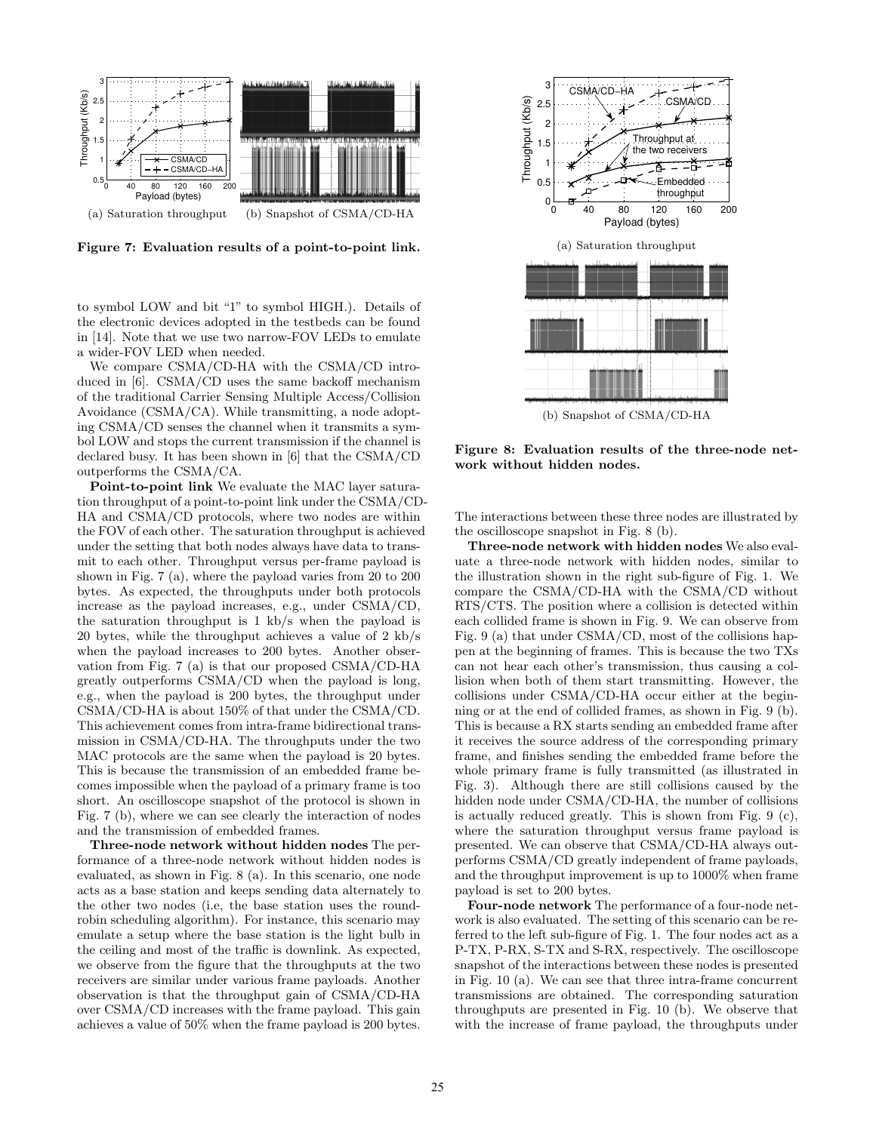

Figure 7: Evaluation results of a point-to-point link.

to symbol LOW and bit "1" to symbol HIGH.). Details of the electronic devices adopted in the testbeds can be found in [14]. Note that we use two narrow-FOV LEDs to emulate a wider-FOV LED when needed.

We compare CSMA/CD-HA with the CSMA/CD introduced in [6]. CSMA/CD uses the same backoff mechanism of the traditional Carrier Sensing Multiple Access/Collision Avoidance (CSMA/CA). While transmitting, a node adopting CSMA/CD senses the channel when it transmits a symbol LOW and stops the current transmission if the channel is declared busy. It has been shown in [6] that the CSMA/CD outperforms the CSMA/CA.

Point-to-point link We evaluate the MAC layer saturation throughput of a point-to-point link under the CSMA/CD-HA and CSMA/CD protocols, where two nodes are within the FOV of each other. The saturation throughput is achieved under the setting that both nodes always have data to transmit to each other. Throughput versus per-frame payload is shown in Fig. 7 (a), where the payload varies from 20 to 200 bytes. As expected, the throughputs under both protocols increase as the payload increases, e.g., under CSMA/CD, the saturation throughput is 1 kb/s when the payload is 20 bytes, while the throughput achieves a value of 2 kb/s when the payload increases to 200 bytes. Another observation from Fig. 7 (a) is that our proposed CSMA/CD-HA greatly outperforms CSMA/CD when the payload is long, e.g., when the payload is 200 bytes, the throughput under CSMA/CD-HA is about 150% of that under the CSMA/CD. This achievement comes from intra-frame bidirectional transmission in CSMA/CD-HA. The throughputs under the two MAC protocols are the same when the payload is 20 bytes. This is because the transmission of an embedded frame becomes impossible when the payload of a primary frame is too short. An oscilloscope snapshot of the protocol is shown in Fig. 7 (b), where we can see clearly the interaction of nodes and the transmission of embedded frames.

Three-node network without hidden nodes The performance of a three-node network without hidden nodes is evaluated, as shown in Fig. 8 (a). In this scenario, one node acts as a base station and keeps sending data alternately to the other two nodes (i.e, the base station uses the roundrobin scheduling algorithm). For instance, this scenario may emulate a setup where the base station is the light bulb in the ceiling and most of the traffic is downlink. As expected, we observe from the figure that the throughputs at the two receivers are similar under various frame payloads. Another observation is that the throughput gain of CSMA/CD-HA over CSMA/CD increases with the frame payload. This gain achieves a value of 50% when the frame payload is 200 bytes.



Figure 8: Evaluation results of the three-node network without hidden nodes.

The interactions between these three nodes are illustrated by the oscilloscope snapshot in Fig. 8 (b).

Three-node network with hidden nodes We also evaluate a three-node network with hidden nodes, similar to the illustration shown in the right sub-figure of Fig. 1. We compare the CSMA/CD-HA with the CSMA/CD without RTS/CTS. The position where a collision is detected within each collided frame is shown in Fig. 9. We can observe from Fig. 9 (a) that under CSMA/CD, most of the collisions happen at the beginning of frames. This is because the two TXs can not hear each other's transmission, thus causing a collision when both of them start transmitting. However, the collisions under CSMA/CD-HA occur either at the beginning or at the end of collided frames, as shown in Fig. 9 (b). This is because a RX starts sending an embedded frame after it receives the source address of the corresponding primary frame, and finishes sending the embedded frame before the whole primary frame is fully transmitted (as illustrated in Fig. 3). Although there are still collisions caused by the hidden node under CSMA/CD-HA, the number of collisions is actually reduced greatly. This is shown from Fig. 9 (c), where the saturation throughput versus frame payload is presented. We can observe that CSMA/CD-HA always outperforms CSMA/CD greatly independent of frame payloads, and the throughput improvement is up to 1000% when frame payload is set to 200 bytes.

Four-node network The performance of a four-node network is also evaluated. The setting of this scenario can be referred to the left sub-figure of Fig. 1. The four nodes act as a P-TX, P-RX, S-TX and S-RX, respectively. The oscilloscope snapshot of the interactions between these nodes is presented in Fig. 10 (a). We can see that three intra-frame concurrent transmissions are obtained. The corresponding saturation throughputs are presented in Fig. 10 (b). We observe that with the increase of frame payload, the throughputs under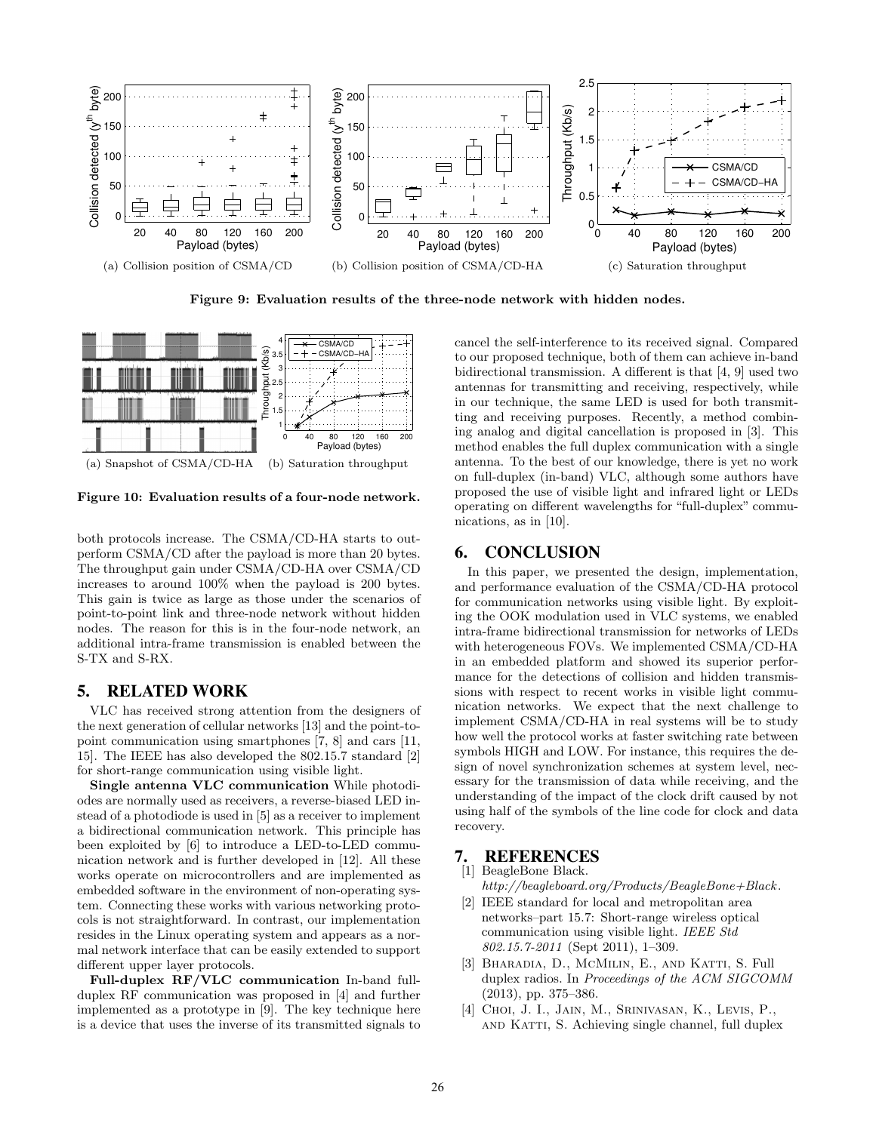

Figure 9: Evaluation results of the three-node network with hidden nodes.



Figure 10: Evaluation results of a four-node network.

both protocols increase. The CSMA/CD-HA starts to outperform CSMA/CD after the payload is more than 20 bytes. The throughput gain under CSMA/CD-HA over CSMA/CD increases to around 100% when the payload is 200 bytes. This gain is twice as large as those under the scenarios of point-to-point link and three-node network without hidden nodes. The reason for this is in the four-node network, an additional intra-frame transmission is enabled between the S-TX and S-RX.

#### 5. RELATED WORK

VLC has received strong attention from the designers of the next generation of cellular networks [13] and the point-topoint communication using smartphones [7, 8] and cars [11, 15]. The IEEE has also developed the 802.15.7 standard [2] for short-range communication using visible light.

Single antenna VLC communication While photodiodes are normally used as receivers, a reverse-biased LED instead of a photodiode is used in [5] as a receiver to implement a bidirectional communication network. This principle has been exploited by [6] to introduce a LED-to-LED communication network and is further developed in [12]. All these works operate on microcontrollers and are implemented as embedded software in the environment of non-operating system. Connecting these works with various networking protocols is not straightforward. In contrast, our implementation resides in the Linux operating system and appears as a normal network interface that can be easily extended to support different upper layer protocols.

Full-duplex RF/VLC communication In-band fullduplex RF communication was proposed in [4] and further implemented as a prototype in [9]. The key technique here is a device that uses the inverse of its transmitted signals to cancel the self-interference to its received signal. Compared to our proposed technique, both of them can achieve in-band bidirectional transmission. A different is that [4, 9] used two antennas for transmitting and receiving, respectively, while in our technique, the same LED is used for both transmitting and receiving purposes. Recently, a method combining analog and digital cancellation is proposed in [3]. This method enables the full duplex communication with a single antenna. To the best of our knowledge, there is yet no work on full-duplex (in-band) VLC, although some authors have proposed the use of visible light and infrared light or LEDs operating on different wavelengths for "full-duplex" communications, as in [10].

# 6. CONCLUSION

In this paper, we presented the design, implementation, and performance evaluation of the CSMA/CD-HA protocol for communication networks using visible light. By exploiting the OOK modulation used in VLC systems, we enabled intra-frame bidirectional transmission for networks of LEDs with heterogeneous FOVs. We implemented CSMA/CD-HA in an embedded platform and showed its superior performance for the detections of collision and hidden transmissions with respect to recent works in visible light communication networks. We expect that the next challenge to implement CSMA/CD-HA in real systems will be to study how well the protocol works at faster switching rate between symbols HIGH and LOW. For instance, this requires the design of novel synchronization schemes at system level, necessary for the transmission of data while receiving, and the understanding of the impact of the clock drift caused by not using half of the symbols of the line code for clock and data recovery.

# **7. REFERENCES** [1] BeagleBone Black.

#### BeagleBone Black.

- http://beagleboard.org/Products/BeagleBone+Black .
- [2] IEEE standard for local and metropolitan area networks–part 15.7: Short-range wireless optical communication using visible light. IEEE Std 802.15.7-2011 (Sept 2011), 1–309.
- [3] BHARADIA, D., MCMILIN, E., AND KATTI, S. Full duplex radios. In Proceedings of the ACM SIGCOMM (2013), pp. 375–386.
- [4] CHOI, J. I., JAIN, M., SRINIVASAN, K., LEVIS, P., and Katti, S. Achieving single channel, full duplex